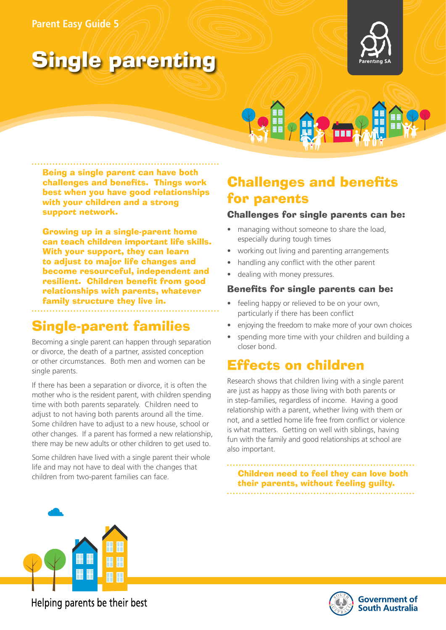### **Parent Easy Guide 5**

# Single parenting





Being a single parent can have both challenges and benefits. Things work best when you have good relationships with your children and a strong support network.

Growing up in a single-parent home can teach children important life skills. With your support, they can learn to adjust to major life changes and become resourceful, independent and resilient. Children benefit from good relationships with parents, whatever family structure they live in.

### Single-parent families

Becoming a single parent can happen through separation or divorce, the death of a partner, assisted conception or other circumstances. Both men and women can be single parents.

If there has been a separation or divorce, it is often the mother who is the resident parent, with children spending time with both parents separately. Children need to adjust to not having both parents around all the time. Some children have to adjust to a new house, school or other changes. If a parent has formed a new relationship, there may be new adults or other children to get used to.

Some children have lived with a single parent their whole life and may not have to deal with the changes that children from two-parent families can face.

### Challenges and benefits for parents

### Challenges for single parents can be:

- managing without someone to share the load. especially during tough times
- working out living and parenting arrangements
- handling any conflict with the other parent
- dealing with money pressures.

### Benefits for single parents can be:

- feeling happy or relieved to be on your own, particularly if there has been conflict
- enjoying the freedom to make more of your own choices
- spending more time with your children and building a closer bond.

### Effects on children

Research shows that children living with a single parent are just as happy as those living with both parents or in step-families, regardless of income. Having a good relationship with a parent, whether living with them or not, and a settled home life free from conflict or violence is what matters. Getting on well with siblings, having fun with the family and good relationships at school are also important.

Children need to feel they can love both their parents, without feeling guilty.



Helping parents be their best

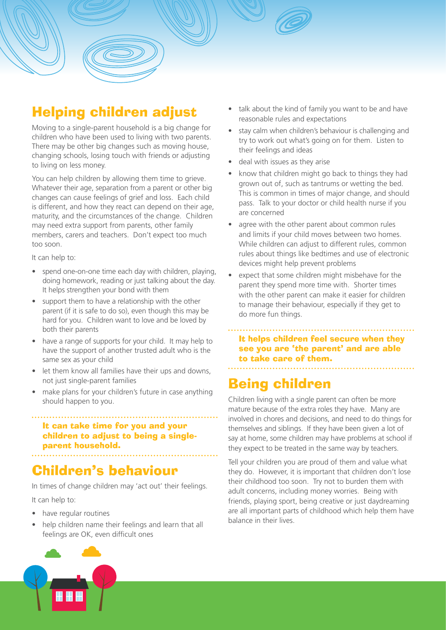# Helping children adjust

Moving to a single-parent household is a big change for children who have been used to living with two parents. There may be other big changes such as moving house, changing schools, losing touch with friends or adjusting to living on less money.

You can help children by allowing them time to grieve. Whatever their age, separation from a parent or other big changes can cause feelings of grief and loss. Each child is different, and how they react can depend on their age, maturity, and the circumstances of the change. Children may need extra support from parents, other family members, carers and teachers. Don't expect too much too soon.

It can help to:

- spend one-on-one time each day with children, playing, doing homework, reading or just talking about the day. It helps strengthen your bond with them
- support them to have a relationship with the other parent (if it is safe to do so), even though this may be hard for you. Children want to love and be loved by both their parents
- have a range of supports for your child. It may help to have the support of another trusted adult who is the same sex as your child
- let them know all families have their ups and downs, not just single-parent families
- make plans for your children's future in case anything should happen to you.

### It can take time for you and your children to adjust to being a singleparent household.

# Children's behaviour

In times of change children may 'act out' their feelings.

It can help to:

- have regular routines
- help children name their feelings and learn that all feelings are OK, even difficult ones
- talk about the kind of family you want to be and have reasonable rules and expectations
- stay calm when children's behaviour is challenging and try to work out what's going on for them. Listen to their feelings and ideas
- deal with issues as they arise
- know that children might go back to things they had grown out of, such as tantrums or wetting the bed. This is common in times of major change, and should pass. Talk to your doctor or child health nurse if you are concerned
- agree with the other parent about common rules and limits if your child moves between two homes. While children can adjust to different rules, common rules about things like bedtimes and use of electronic devices might help prevent problems
- expect that some children might misbehave for the parent they spend more time with. Shorter times with the other parent can make it easier for children to manage their behaviour, especially if they get to do more fun things.

It helps children feel secure when they see you are 'the parent' and are able to take care of them.

# Being children

Children living with a single parent can often be more mature because of the extra roles they have. Many are involved in chores and decisions, and need to do things for themselves and siblings. If they have been given a lot of say at home, some children may have problems at school if they expect to be treated in the same way by teachers.

Tell your children you are proud of them and value what they do. However, it is important that children don't lose their childhood too soon. Try not to burden them with adult concerns, including money worries. Being with friends, playing sport, being creative or just daydreaming are all important parts of childhood which help them have balance in their lives.

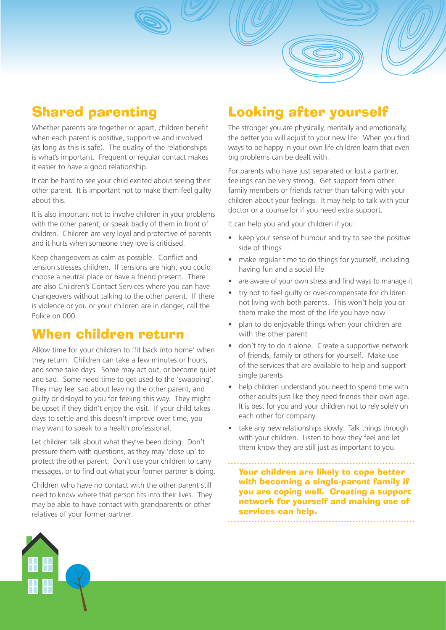# Shared parenting

Whether parents are together or apart, children benefit when each parent is positive, supportive and involved (as long as this is safe). The quality of the relationships is what's important. Frequent or regular contact makes it easier to have a good relationship.

It can be hard to see your child excited about seeing their other parent. It is important not to make them feel guilty about this.

It is also important not to involve children in your problems with the other parent, or speak badly of them in front of children. Children are very loyal and protective of parents and it hurts when someone they love is criticised.

Keep changeovers as calm as possible. Conflict and tension stresses children. If tensions are high, you could choose a neutral place or have a friend present. There are also Children's Contact Services where you can have changeovers without talking to the other parent. If there is violence or you or your children are in danger, call the Police on 000.

### When children return

Allow time for your children to 'fit back into home' when they return. Children can take a few minutes or hours, and some take days. Some may act out, or become quiet and sad. Some need time to get used to the 'swapping'. They may feel sad about leaving the other parent, and guilty or disloyal to you for feeling this way. They might be upset if they didn't enjoy the visit. If your child takes days to settle and this doesn't improve over time, you may want to speak to a health professional.

Let children talk about what they've been doing. Don't pressure them with questions, as they may 'close up' to protect the other parent. Don't use your children to carry messages, or to find out what your former partner is doing.

Children who have no contact with the other parent still need to know where that person fits into their lives. They may be able to have contact with grandparents or other relatives of your former partner.

# Looking after yourself

The stronger you are physically, mentally and emotionally, the better you will adjust to your new life. When you find ways to be happy in your own life children learn that even big problems can be dealt with.

For parents who have just separated or lost a partner, feelings can be very strong. Get support from other family members or friends rather than talking with your children about your feelings. It may help to talk with your doctor or a counsellor if you need extra support.

It can help you and your children if you:

- keep your sense of humour and try to see the positive side of things
- make regular time to do things for yourself, including having fun and a social life
- are aware of your own stress and find ways to manage it
- try not to feel guilty or over-compensate for children not living with both parents. This won't help you or them make the most of the life you have now
- plan to do enjoyable things when your children are with the other parent
- don't try to do it alone. Create a supportive network of friends, family or others for yourself. Make use of the services that are available to help and support single parents
- help children understand you need to spend time with other adults just like they need friends their own age. It is best for you and your children not to rely solely on each other for company
- take any new relationships slowly. Talk things through with your children. Listen to how they feel and let them know they are still just as important to you.

Your children are likely to cope better with becoming a single-parent family if you are coping well. Creating a support network for yourself and making use of services can help.